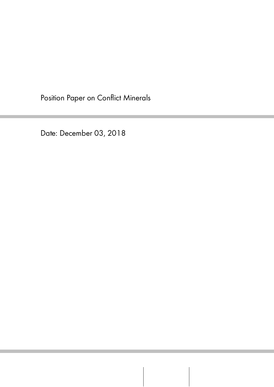Position Paper on Conflict Minerals

Date: December 03, 2018